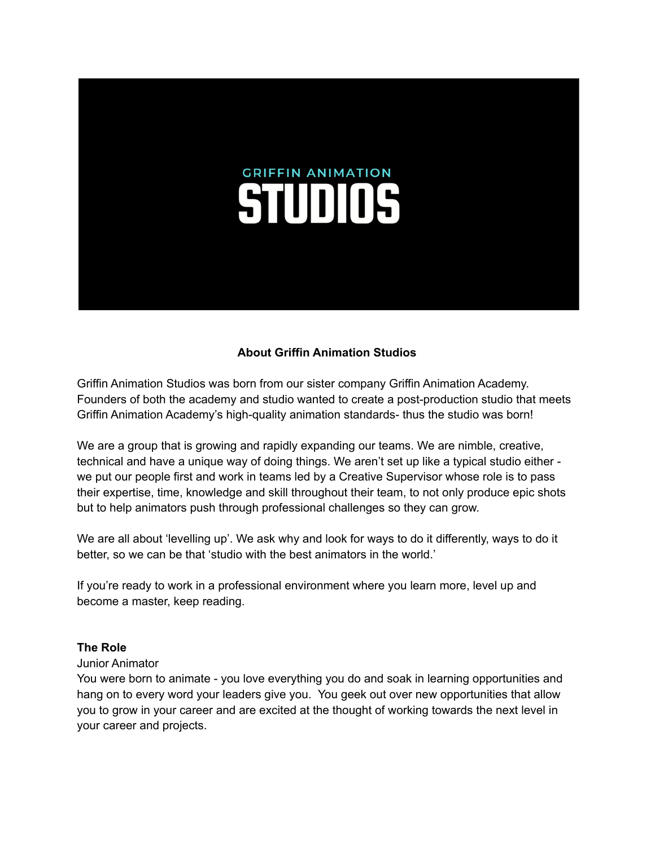# **GRIFFIN ANIMATION STUDIOS**

# **About Griffin Animation Studios**

Griffin Animation Studios was born from our sister company Griffin Animation Academy. Founders of both the academy and studio wanted to create a post-production studio that meets Griffin Animation Academy's high-quality animation standards- thus the studio was born!

We are a group that is growing and rapidly expanding our teams. We are nimble, creative, technical and have a unique way of doing things. We aren't set up like a typical studio either we put our people first and work in teams led by a Creative Supervisor whose role is to pass their expertise, time, knowledge and skill throughout their team, to not only produce epic shots but to help animators push through professional challenges so they can grow.

We are all about 'levelling up'. We ask why and look for ways to do it differently, ways to do it better, so we can be that 'studio with the best animators in the world.'

If you're ready to work in a professional environment where you learn more, level up and become a master, keep reading.

#### **The Role**

#### Junior Animator

You were born to animate - you love everything you do and soak in learning opportunities and hang on to every word your leaders give you. You geek out over new opportunities that allow you to grow in your career and are excited at the thought of working towards the next level in your career and projects.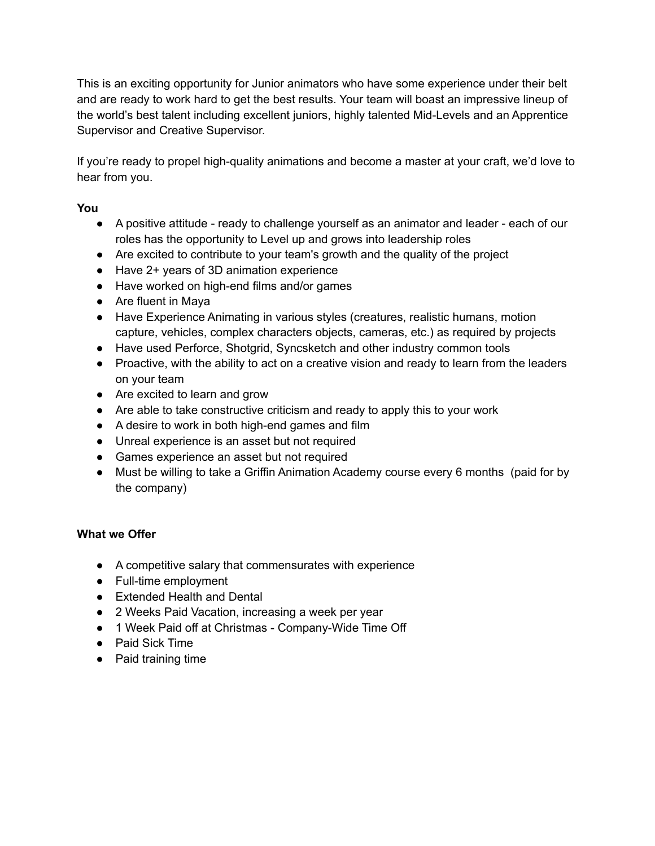This is an exciting opportunity for Junior animators who have some experience under their belt and are ready to work hard to get the best results. Your team will boast an impressive lineup of the world's best talent including excellent juniors, highly talented Mid-Levels and an Apprentice Supervisor and Creative Supervisor.

If you're ready to propel high-quality animations and become a master at your craft, we'd love to hear from you.

# **You**

- A positive attitude ready to challenge yourself as an animator and leader each of our roles has the opportunity to Level up and grows into leadership roles
- Are excited to contribute to your team's growth and the quality of the project
- Have 2+ years of 3D animation experience
- Have worked on high-end films and/or games
- Are fluent in Maya
- Have Experience Animating in various styles (creatures, realistic humans, motion capture, vehicles, complex characters objects, cameras, etc.) as required by projects
- Have used Perforce, Shotgrid, Syncsketch and other industry common tools
- Proactive, with the ability to act on a creative vision and ready to learn from the leaders on your team
- Are excited to learn and grow
- Are able to take constructive criticism and ready to apply this to your work
- A desire to work in both high-end games and film
- Unreal experience is an asset but not required
- Games experience an asset but not required
- Must be willing to take a Griffin Animation Academy course every 6 months (paid for by the company)

# **What we Offer**

- A competitive salary that commensurates with experience
- Full-time employment
- Extended Health and Dental
- 2 Weeks Paid Vacation, increasing a week per year
- 1 Week Paid off at Christmas Company-Wide Time Off
- Paid Sick Time
- Paid training time